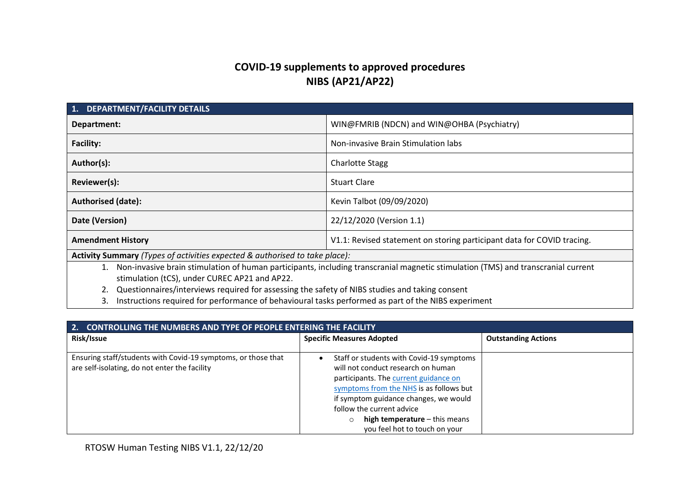# **COVID-19 supplements to approved procedures NIBS (AP21/AP22)**

| <b>DEPARTMENT/FACILITY DETAILS</b><br>1.                                                                                                                                                                       |                                            |  |
|----------------------------------------------------------------------------------------------------------------------------------------------------------------------------------------------------------------|--------------------------------------------|--|
| Department:                                                                                                                                                                                                    | WIN@FMRIB (NDCN) and WIN@OHBA (Psychiatry) |  |
| <b>Facility:</b><br>Non-invasive Brain Stimulation labs                                                                                                                                                        |                                            |  |
| Author(s):                                                                                                                                                                                                     | <b>Charlotte Stagg</b>                     |  |
| Reviewer(s):<br><b>Stuart Clare</b>                                                                                                                                                                            |                                            |  |
| <b>Authorised (date):</b><br>Kevin Talbot (09/09/2020)                                                                                                                                                         |                                            |  |
| 22/12/2020 (Version 1.1)<br>Date (Version)                                                                                                                                                                     |                                            |  |
| <b>Amendment History</b><br>V1.1: Revised statement on storing participant data for COVID tracing.                                                                                                             |                                            |  |
| Activity Summary (Types of activities expected & authorised to take place):                                                                                                                                    |                                            |  |
| Non-invasive brain stimulation of human participants, including transcranial magnetic stimulation (TMS) and transcranial current<br>1.<br>stimulation (tCS), under CUREC AP21 and AP22.                        |                                            |  |
| Questionnaires/interviews required for assessing the safety of NIBS studies and taking consent<br>the state of the contract of the second contract in the second second and second and the NUDC are a streamed |                                            |  |

3. Instructions required for performance of behavioural tasks performed as part of the NIBS experiment

| 2.<br>CONTROLLING THE NUMBERS AND TYPE OF PEOPLE ENTERING THE FACILITY                                         |                                                                                                                                                                                                                                                                                                                                      |                            |  |
|----------------------------------------------------------------------------------------------------------------|--------------------------------------------------------------------------------------------------------------------------------------------------------------------------------------------------------------------------------------------------------------------------------------------------------------------------------------|----------------------------|--|
| Risk/Issue                                                                                                     | <b>Specific Measures Adopted</b>                                                                                                                                                                                                                                                                                                     | <b>Outstanding Actions</b> |  |
| Ensuring staff/students with Covid-19 symptoms, or those that<br>are self-isolating, do not enter the facility | Staff or students with Covid-19 symptoms<br>$\bullet$<br>will not conduct research on human<br>participants. The current guidance on<br>symptoms from the NHS is as follows but<br>if symptom guidance changes, we would<br>follow the current advice<br>high temperature $-$ this means<br>$\circ$<br>you feel hot to touch on your |                            |  |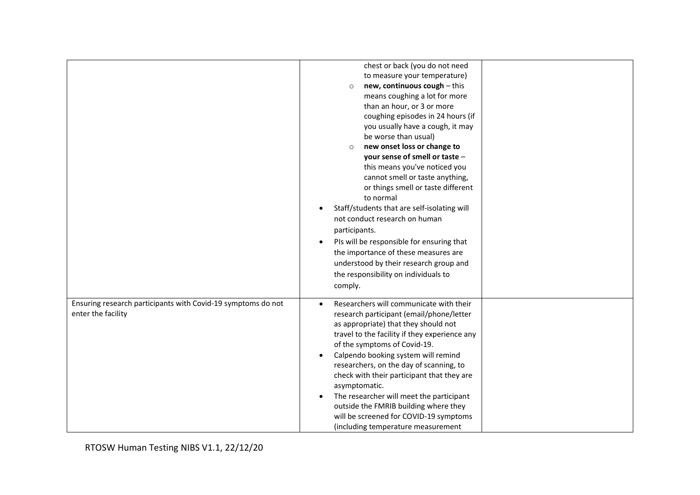|                                                                                    | chest or back (you do not need<br>to measure your temperature)<br>new, continuous cough - this<br>$\Omega$<br>means coughing a lot for more<br>than an hour, or 3 or more<br>coughing episodes in 24 hours (if<br>you usually have a cough, it may<br>be worse than usual)<br>new onset loss or change to<br>$\circ$<br>your sense of smell or taste -<br>this means you've noticed you<br>cannot smell or taste anything,<br>or things smell or taste different<br>to normal<br>Staff/students that are self-isolating will<br>$\bullet$<br>not conduct research on human<br>participants.<br>PIs will be responsible for ensuring that<br>$\bullet$<br>the importance of these measures are<br>understood by their research group and<br>the responsibility on individuals to<br>comply. |
|------------------------------------------------------------------------------------|--------------------------------------------------------------------------------------------------------------------------------------------------------------------------------------------------------------------------------------------------------------------------------------------------------------------------------------------------------------------------------------------------------------------------------------------------------------------------------------------------------------------------------------------------------------------------------------------------------------------------------------------------------------------------------------------------------------------------------------------------------------------------------------------|
| Ensuring research participants with Covid-19 symptoms do not<br>enter the facility | Researchers will communicate with their<br>research participant (email/phone/letter<br>as appropriate) that they should not<br>travel to the facility if they experience any<br>of the symptoms of Covid-19.<br>Calpendo booking system will remind<br>$\bullet$<br>researchers, on the day of scanning, to<br>check with their participant that they are<br>asymptomatic.<br>The researcher will meet the participant<br>$\bullet$<br>outside the FMRIB building where they<br>will be screened for COVID-19 symptoms<br>(including temperature measurement                                                                                                                                                                                                                               |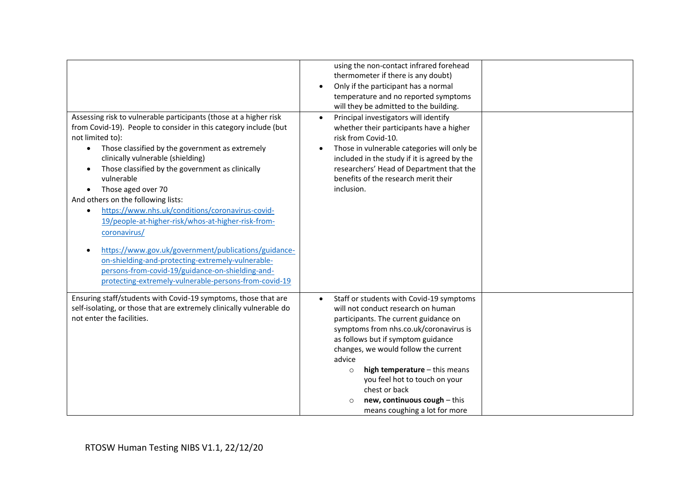|                                                                                                                                                                                                                                                                                                                                                                                                                                                                                                                                                                                                                                                                                                                                                                            | using the non-contact infrared forehead<br>thermometer if there is any doubt)<br>Only if the participant has a normal<br>temperature and no reported symptoms<br>will they be admitted to the building.                                                                                                                                                                                                                                          |
|----------------------------------------------------------------------------------------------------------------------------------------------------------------------------------------------------------------------------------------------------------------------------------------------------------------------------------------------------------------------------------------------------------------------------------------------------------------------------------------------------------------------------------------------------------------------------------------------------------------------------------------------------------------------------------------------------------------------------------------------------------------------------|--------------------------------------------------------------------------------------------------------------------------------------------------------------------------------------------------------------------------------------------------------------------------------------------------------------------------------------------------------------------------------------------------------------------------------------------------|
| Assessing risk to vulnerable participants (those at a higher risk<br>from Covid-19). People to consider in this category include (but<br>not limited to):<br>Those classified by the government as extremely<br>$\bullet$<br>clinically vulnerable (shielding)<br>Those classified by the government as clinically<br>vulnerable<br>Those aged over 70<br>$\bullet$<br>And others on the following lists:<br>https://www.nhs.uk/conditions/coronavirus-covid-<br>$\bullet$<br>19/people-at-higher-risk/whos-at-higher-risk-from-<br>coronavirus/<br>https://www.gov.uk/government/publications/guidance-<br>on-shielding-and-protecting-extremely-vulnerable-<br>persons-from-covid-19/guidance-on-shielding-and-<br>protecting-extremely-vulnerable-persons-from-covid-19 | Principal investigators will identify<br>$\bullet$<br>whether their participants have a higher<br>risk from Covid-10.<br>Those in vulnerable categories will only be<br>included in the study if it is agreed by the<br>researchers' Head of Department that the<br>benefits of the research merit their<br>inclusion.                                                                                                                           |
| Ensuring staff/students with Covid-19 symptoms, those that are<br>self-isolating, or those that are extremely clinically vulnerable do<br>not enter the facilities.                                                                                                                                                                                                                                                                                                                                                                                                                                                                                                                                                                                                        | Staff or students with Covid-19 symptoms<br>$\bullet$<br>will not conduct research on human<br>participants. The current guidance on<br>symptoms from nhs.co.uk/coronavirus is<br>as follows but if symptom guidance<br>changes, we would follow the current<br>advice<br>high temperature - this means<br>$\circ$<br>you feel hot to touch on your<br>chest or back<br>new, continuous cough - this<br>$\circ$<br>means coughing a lot for more |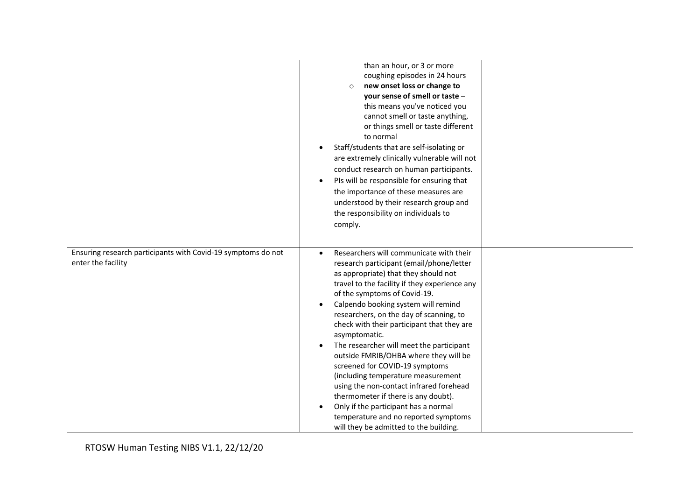|                                                                                    | than an hour, or 3 or more<br>coughing episodes in 24 hours<br>new onset loss or change to<br>$\circ$<br>your sense of smell or taste -<br>this means you've noticed you<br>cannot smell or taste anything,<br>or things smell or taste different<br>to normal<br>Staff/students that are self-isolating or<br>$\bullet$<br>are extremely clinically vulnerable will not<br>conduct research on human participants.<br>PIs will be responsible for ensuring that<br>$\bullet$<br>the importance of these measures are<br>understood by their research group and<br>the responsibility on individuals to<br>comply.                                                                                                                                                            |
|------------------------------------------------------------------------------------|-------------------------------------------------------------------------------------------------------------------------------------------------------------------------------------------------------------------------------------------------------------------------------------------------------------------------------------------------------------------------------------------------------------------------------------------------------------------------------------------------------------------------------------------------------------------------------------------------------------------------------------------------------------------------------------------------------------------------------------------------------------------------------|
| Ensuring research participants with Covid-19 symptoms do not<br>enter the facility | Researchers will communicate with their<br>$\bullet$<br>research participant (email/phone/letter<br>as appropriate) that they should not<br>travel to the facility if they experience any<br>of the symptoms of Covid-19.<br>Calpendo booking system will remind<br>researchers, on the day of scanning, to<br>check with their participant that they are<br>asymptomatic.<br>The researcher will meet the participant<br>$\bullet$<br>outside FMRIB/OHBA where they will be<br>screened for COVID-19 symptoms<br>(including temperature measurement<br>using the non-contact infrared forehead<br>thermometer if there is any doubt).<br>Only if the participant has a normal<br>$\bullet$<br>temperature and no reported symptoms<br>will they be admitted to the building. |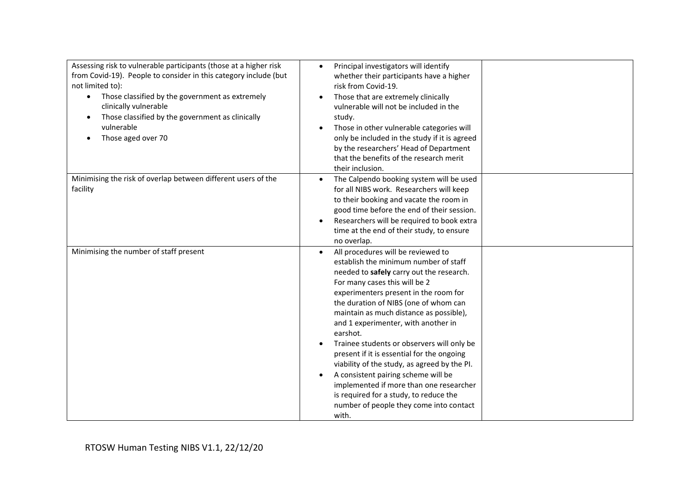| Assessing risk to vulnerable participants (those at a higher risk<br>from Covid-19). People to consider in this category include (but<br>not limited to):<br>Those classified by the government as extremely<br>$\bullet$<br>clinically vulnerable<br>Those classified by the government as clinically<br>vulnerable<br>Those aged over 70 | Principal investigators will identify<br>$\bullet$<br>whether their participants have a higher<br>risk from Covid-19.<br>Those that are extremely clinically<br>vulnerable will not be included in the<br>study.<br>Those in other vulnerable categories will<br>$\bullet$<br>only be included in the study if it is agreed<br>by the researchers' Head of Department<br>that the benefits of the research merit<br>their inclusion.                                                                                                                                                                                                                                                           |
|--------------------------------------------------------------------------------------------------------------------------------------------------------------------------------------------------------------------------------------------------------------------------------------------------------------------------------------------|------------------------------------------------------------------------------------------------------------------------------------------------------------------------------------------------------------------------------------------------------------------------------------------------------------------------------------------------------------------------------------------------------------------------------------------------------------------------------------------------------------------------------------------------------------------------------------------------------------------------------------------------------------------------------------------------|
| Minimising the risk of overlap between different users of the<br>facility                                                                                                                                                                                                                                                                  | The Calpendo booking system will be used<br>$\bullet$<br>for all NIBS work. Researchers will keep<br>to their booking and vacate the room in<br>good time before the end of their session.<br>Researchers will be required to book extra<br>$\bullet$<br>time at the end of their study, to ensure<br>no overlap.                                                                                                                                                                                                                                                                                                                                                                              |
| Minimising the number of staff present                                                                                                                                                                                                                                                                                                     | All procedures will be reviewed to<br>$\bullet$<br>establish the minimum number of staff<br>needed to safely carry out the research.<br>For many cases this will be 2<br>experimenters present in the room for<br>the duration of NIBS (one of whom can<br>maintain as much distance as possible),<br>and 1 experimenter, with another in<br>earshot.<br>Trainee students or observers will only be<br>$\bullet$<br>present if it is essential for the ongoing<br>viability of the study, as agreed by the PI.<br>A consistent pairing scheme will be<br>implemented if more than one researcher<br>is required for a study, to reduce the<br>number of people they come into contact<br>with. |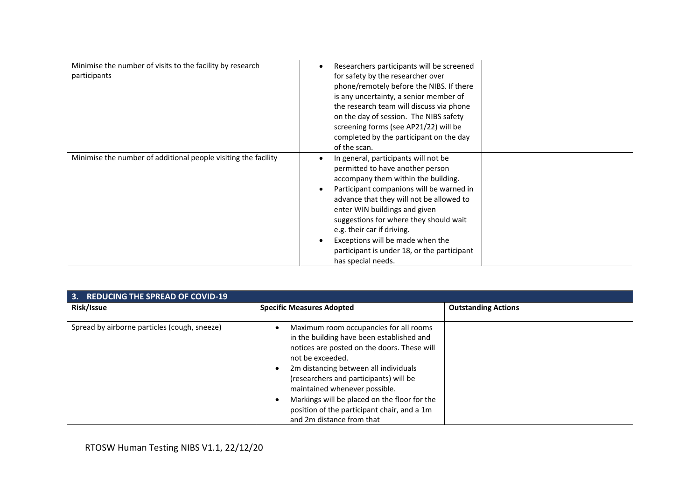| Minimise the number of visits to the facility by research<br>participants | Researchers participants will be screened<br>$\bullet$<br>for safety by the researcher over<br>phone/remotely before the NIBS. If there<br>is any uncertainty, a senior member of<br>the research team will discuss via phone<br>on the day of session. The NIBS safety<br>screening forms (see AP21/22) will be<br>completed by the participant on the day<br>of the scan.                                                                                      |
|---------------------------------------------------------------------------|------------------------------------------------------------------------------------------------------------------------------------------------------------------------------------------------------------------------------------------------------------------------------------------------------------------------------------------------------------------------------------------------------------------------------------------------------------------|
| Minimise the number of additional people visiting the facility            | In general, participants will not be<br>$\bullet$<br>permitted to have another person<br>accompany them within the building.<br>Participant companions will be warned in<br>$\bullet$<br>advance that they will not be allowed to<br>enter WIN buildings and given<br>suggestions for where they should wait<br>e.g. their car if driving.<br>Exceptions will be made when the<br>$\bullet$<br>participant is under 18, or the participant<br>has special needs. |

| <b>REDUCING THE SPREAD OF COVID-19</b><br>3. |                                                                                                                                                                                                                                                                                                                                                                                                        |                            |
|----------------------------------------------|--------------------------------------------------------------------------------------------------------------------------------------------------------------------------------------------------------------------------------------------------------------------------------------------------------------------------------------------------------------------------------------------------------|----------------------------|
| Risk/Issue                                   | <b>Specific Measures Adopted</b>                                                                                                                                                                                                                                                                                                                                                                       | <b>Outstanding Actions</b> |
| Spread by airborne particles (cough, sneeze) | Maximum room occupancies for all rooms<br>in the building have been established and<br>notices are posted on the doors. These will<br>not be exceeded.<br>2m distancing between all individuals<br>(researchers and participants) will be<br>maintained whenever possible.<br>Markings will be placed on the floor for the<br>position of the participant chair, and a 1m<br>and 2m distance from that |                            |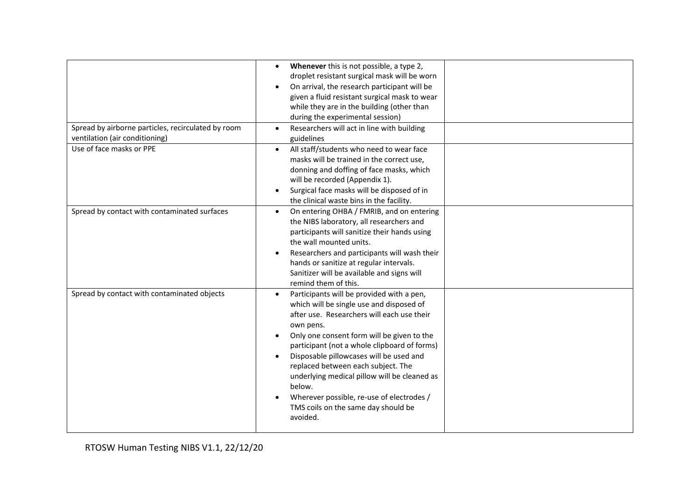| Spread by airborne particles, recirculated by room | Whenever this is not possible, a type 2,<br>$\bullet$<br>droplet resistant surgical mask will be worn<br>On arrival, the research participant will be<br>given a fluid resistant surgical mask to wear<br>while they are in the building (other than<br>during the experimental session)<br>Researchers will act in line with building                                                                                                                                                                 |  |
|----------------------------------------------------|--------------------------------------------------------------------------------------------------------------------------------------------------------------------------------------------------------------------------------------------------------------------------------------------------------------------------------------------------------------------------------------------------------------------------------------------------------------------------------------------------------|--|
| ventilation (air conditioning)                     | guidelines                                                                                                                                                                                                                                                                                                                                                                                                                                                                                             |  |
| Use of face masks or PPE                           | All staff/students who need to wear face<br>$\bullet$<br>masks will be trained in the correct use,<br>donning and doffing of face masks, which<br>will be recorded (Appendix 1).<br>Surgical face masks will be disposed of in<br>the clinical waste bins in the facility.                                                                                                                                                                                                                             |  |
| Spread by contact with contaminated surfaces       | On entering OHBA / FMRIB, and on entering<br>$\bullet$<br>the NIBS laboratory, all researchers and<br>participants will sanitize their hands using<br>the wall mounted units.<br>Researchers and participants will wash their<br>hands or sanitize at regular intervals.<br>Sanitizer will be available and signs will<br>remind them of this.                                                                                                                                                         |  |
| Spread by contact with contaminated objects        | Participants will be provided with a pen,<br>which will be single use and disposed of<br>after use. Researchers will each use their<br>own pens.<br>Only one consent form will be given to the<br>participant (not a whole clipboard of forms)<br>Disposable pillowcases will be used and<br>$\bullet$<br>replaced between each subject. The<br>underlying medical pillow will be cleaned as<br>below.<br>Wherever possible, re-use of electrodes /<br>TMS coils on the same day should be<br>avoided. |  |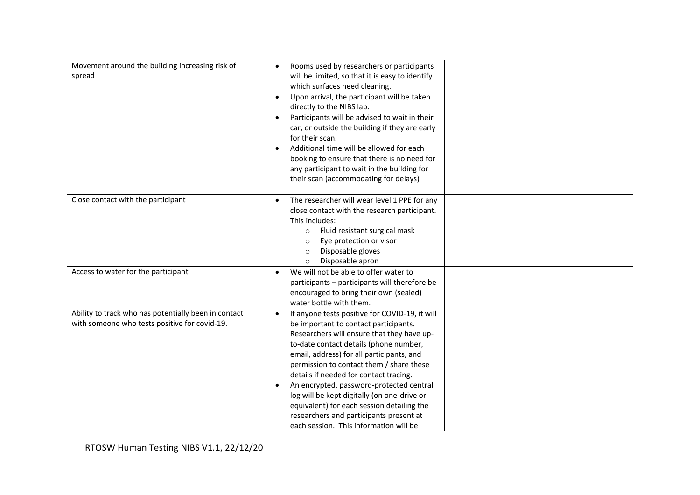| Movement around the building increasing risk of<br>spread                                             | Rooms used by researchers or participants<br>$\bullet$<br>will be limited, so that it is easy to identify<br>which surfaces need cleaning.<br>Upon arrival, the participant will be taken<br>directly to the NIBS lab.<br>Participants will be advised to wait in their<br>car, or outside the building if they are early<br>for their scan.<br>Additional time will be allowed for each<br>booking to ensure that there is no need for<br>any participant to wait in the building for<br>their scan (accommodating for delays)                  |  |
|-------------------------------------------------------------------------------------------------------|--------------------------------------------------------------------------------------------------------------------------------------------------------------------------------------------------------------------------------------------------------------------------------------------------------------------------------------------------------------------------------------------------------------------------------------------------------------------------------------------------------------------------------------------------|--|
| Close contact with the participant                                                                    | The researcher will wear level 1 PPE for any<br>close contact with the research participant.<br>This includes:<br>Fluid resistant surgical mask<br>$\circ$<br>Eye protection or visor<br>$\circ$<br>Disposable gloves<br>$\circ$<br>Disposable apron<br>$\circ$                                                                                                                                                                                                                                                                                  |  |
| Access to water for the participant                                                                   | We will not be able to offer water to<br>$\bullet$<br>participants - participants will therefore be<br>encouraged to bring their own (sealed)<br>water bottle with them.                                                                                                                                                                                                                                                                                                                                                                         |  |
| Ability to track who has potentially been in contact<br>with someone who tests positive for covid-19. | If anyone tests positive for COVID-19, it will<br>be important to contact participants.<br>Researchers will ensure that they have up-<br>to-date contact details (phone number,<br>email, address) for all participants, and<br>permission to contact them / share these<br>details if needed for contact tracing.<br>An encrypted, password-protected central<br>log will be kept digitally (on one-drive or<br>equivalent) for each session detailing the<br>researchers and participants present at<br>each session. This information will be |  |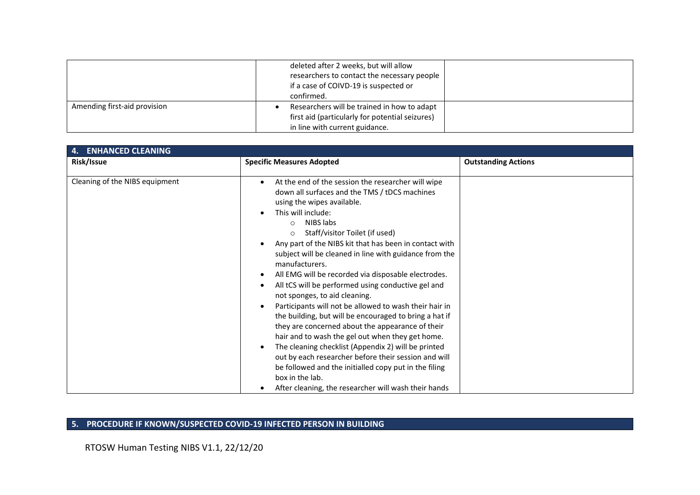|                              | deleted after 2 weeks, but will allow<br>researchers to contact the necessary people<br>if a case of COIVD-19 is suspected or<br>confirmed. |  |
|------------------------------|---------------------------------------------------------------------------------------------------------------------------------------------|--|
| Amending first-aid provision | Researchers will be trained in how to adapt<br>first aid (particularly for potential seizures)<br>in line with current guidance.            |  |

| <b>ENHANCED CLEANING</b><br>4. |                                                                                                                                                                                                                                                                                                                                                                                                                                                                                                                                                                                                                                                                                                                                                                                                                                                                                                                                                                                                |                            |  |
|--------------------------------|------------------------------------------------------------------------------------------------------------------------------------------------------------------------------------------------------------------------------------------------------------------------------------------------------------------------------------------------------------------------------------------------------------------------------------------------------------------------------------------------------------------------------------------------------------------------------------------------------------------------------------------------------------------------------------------------------------------------------------------------------------------------------------------------------------------------------------------------------------------------------------------------------------------------------------------------------------------------------------------------|----------------------------|--|
| Risk/Issue                     | <b>Specific Measures Adopted</b>                                                                                                                                                                                                                                                                                                                                                                                                                                                                                                                                                                                                                                                                                                                                                                                                                                                                                                                                                               | <b>Outstanding Actions</b> |  |
| Cleaning of the NIBS equipment | At the end of the session the researcher will wipe<br>down all surfaces and the TMS / tDCS machines<br>using the wipes available.<br>This will include:<br>NIBS labs<br>$\cap$<br>Staff/visitor Toilet (if used)<br>$\circ$<br>Any part of the NIBS kit that has been in contact with<br>subject will be cleaned in line with guidance from the<br>manufacturers.<br>All EMG will be recorded via disposable electrodes.<br>All tCS will be performed using conductive gel and<br>not sponges, to aid cleaning.<br>Participants will not be allowed to wash their hair in<br>the building, but will be encouraged to bring a hat if<br>they are concerned about the appearance of their<br>hair and to wash the gel out when they get home.<br>The cleaning checklist (Appendix 2) will be printed<br>out by each researcher before their session and will<br>be followed and the initialled copy put in the filing<br>box in the lab.<br>After cleaning, the researcher will wash their hands |                            |  |

## **5. PROCEDURE IF KNOWN/SUSPECTED COVID-19 INFECTED PERSON IN BUILDING**

RTOSW Human Testing NIBS V1.1, 22/12/20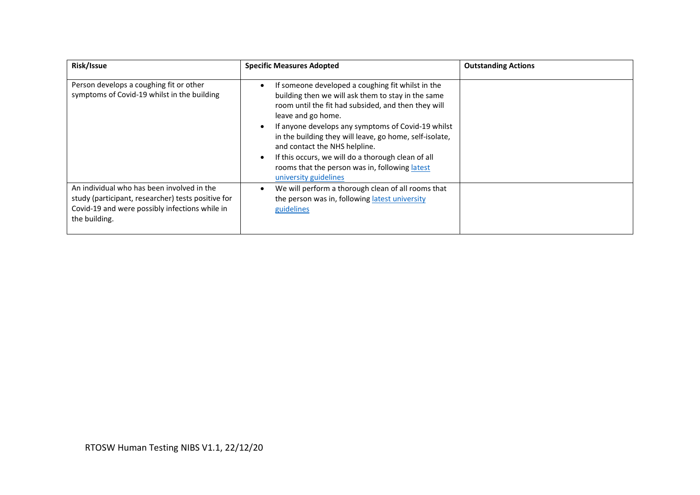| Risk/Issue                                                                                                                                                          | <b>Specific Measures Adopted</b>                                                                                                                                                                                                                                                                                                                                                                                                                                        | <b>Outstanding Actions</b> |
|---------------------------------------------------------------------------------------------------------------------------------------------------------------------|-------------------------------------------------------------------------------------------------------------------------------------------------------------------------------------------------------------------------------------------------------------------------------------------------------------------------------------------------------------------------------------------------------------------------------------------------------------------------|----------------------------|
| Person develops a coughing fit or other<br>symptoms of Covid-19 whilst in the building                                                                              | If someone developed a coughing fit whilst in the<br>building then we will ask them to stay in the same<br>room until the fit had subsided, and then they will<br>leave and go home.<br>If anyone develops any symptoms of Covid-19 whilst<br>in the building they will leave, go home, self-isolate,<br>and contact the NHS helpline.<br>If this occurs, we will do a thorough clean of all<br>rooms that the person was in, following latest<br>university guidelines |                            |
| An individual who has been involved in the<br>study (participant, researcher) tests positive for<br>Covid-19 and were possibly infections while in<br>the building. | We will perform a thorough clean of all rooms that<br>the person was in, following latest university<br>guidelines                                                                                                                                                                                                                                                                                                                                                      |                            |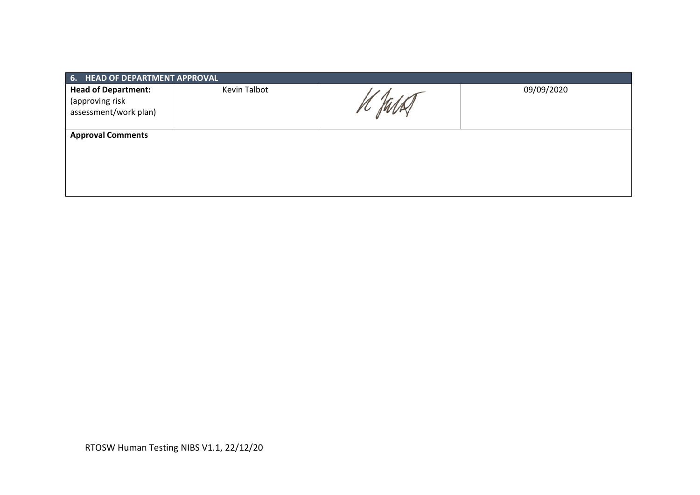| 6. HEAD OF DEPARTMENT APPROVAL                                         |              |  |            |  |  |  |  |  |
|------------------------------------------------------------------------|--------------|--|------------|--|--|--|--|--|
| <b>Head of Department:</b><br>(approving risk<br>assessment/work plan) | Kevin Talbot |  | 09/09/2020 |  |  |  |  |  |
| <b>Approval Comments</b>                                               |              |  |            |  |  |  |  |  |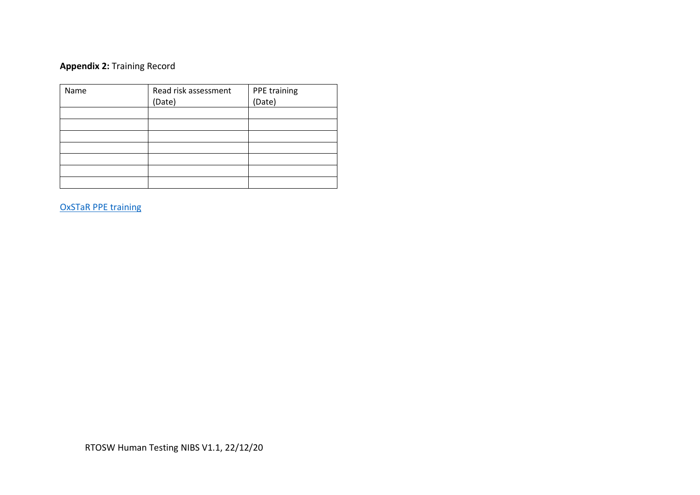## **Appendix 2:** Training Record

| Name | Read risk assessment | PPE training |
|------|----------------------|--------------|
|      | (Date)               | (Date)       |
|      |                      |              |
|      |                      |              |
|      |                      |              |
|      |                      |              |
|      |                      |              |
|      |                      |              |
|      |                      |              |

OxSTaR [PPE training](https://www.oxstar.ox.ac.uk/covid-19/personal-protective-equipment-ppe/ppe)

RTOSW Human Testing NIBS V1.1, 22/12/20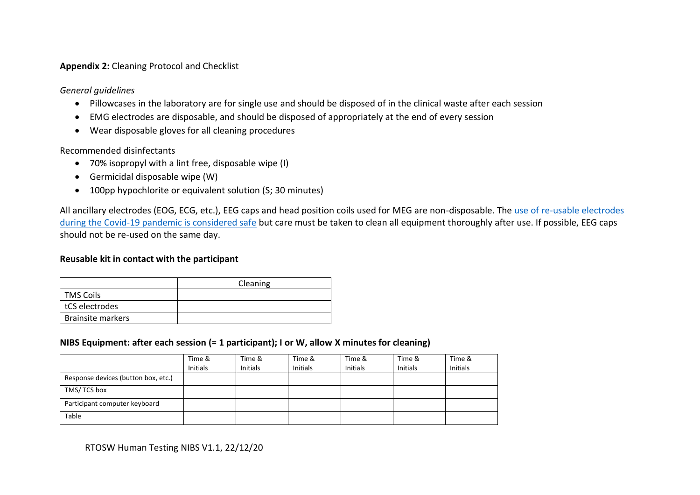#### **Appendix 2:** Cleaning Protocol and Checklist

*General guidelines*

- Pillowcases in the laboratory are for single use and should be disposed of in the clinical waste after each session
- EMG electrodes are disposable, and should be disposed of appropriately at the end of every session
- Wear disposable gloves for all cleaning procedures

Recommended disinfectants

- 70% isopropyl with a lint free, disposable wipe (I)
- Germicidal disposable wipe (W)
- 100pp hypochlorite or equivalent solution (S; 30 minutes)

All ancillary electrodes (EOG, ECG, etc.), EEG caps and head position coils used for MEG are non-disposable. The [use of re-usable electrodes](https://doi.org/10.1016/j.clinph.2020.04.007)  [during the Covid-19 pandemic is considered safe](https://doi.org/10.1016/j.clinph.2020.04.007) but care must be taken to clean all equipment thoroughly after use. If possible, EEG caps should not be re-used on the same day.

### **Reusable kit in contact with the participant**

|                          | Cleaning |
|--------------------------|----------|
| <b>TMS Coils</b>         |          |
| tCS electrodes           |          |
| <b>Brainsite markers</b> |          |

## **NIBS Equipment: after each session (= 1 participant); I or W, allow X minutes for cleaning)**

|                                     | Time &<br><b>Initials</b> | Time &<br><b>Initials</b> | Time &<br><b>Initials</b> | Time &<br><b>Initials</b> | Time &<br><b>Initials</b> | Time &<br><b>Initials</b> |
|-------------------------------------|---------------------------|---------------------------|---------------------------|---------------------------|---------------------------|---------------------------|
| Response devices (button box, etc.) |                           |                           |                           |                           |                           |                           |
| TMS/TCS box                         |                           |                           |                           |                           |                           |                           |
| Participant computer keyboard       |                           |                           |                           |                           |                           |                           |
| Table                               |                           |                           |                           |                           |                           |                           |